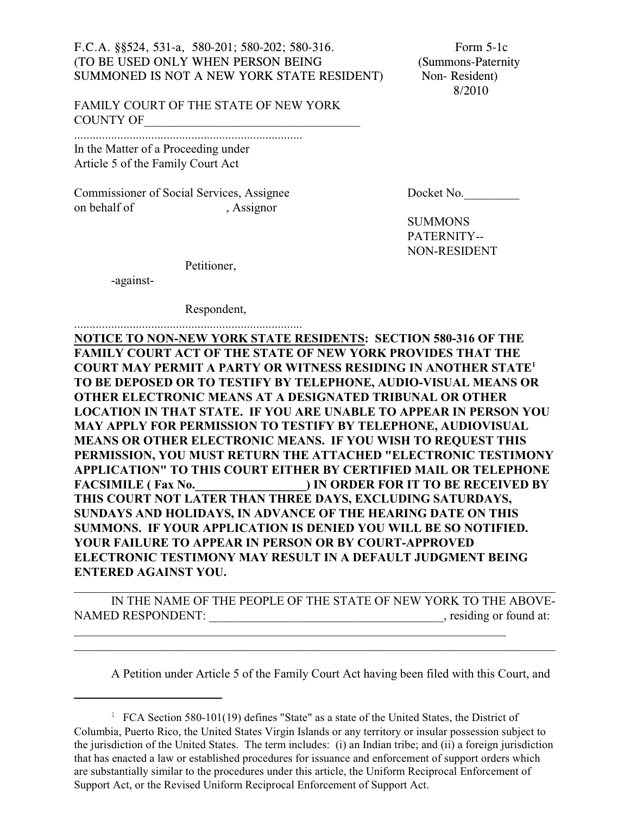## F.C.A. §§524, 531-a, 580-201; 580-202; 580-316. Form 5-1c (TO BE USED ONLY WHEN PERSON BEING (Summons-Paternity SUMMONED IS NOT A NEW YORK STATE RESIDENT) Non-Resident)

8/2010

FAMILY COURT OF THE STATE OF NEW YORK COUNTY OF

.......................................................................... In the Matter of a Proceeding under Article 5 of the Family Court Act

Commissioner of Social Services, Assignee Docket No. on behalf of , Assignor

SUMMONS PATERNITY-- NON-RESIDENT

Petitioner,

-against-

Respondent,

.......................................................................... **NOTICE TO NON-NEW YORK STATE RESIDENTS: SECTION 580-316 OF THE FAMILY COURT ACT OF THE STATE OF NEW YORK PROVIDES THAT THE COURT MAY PERMIT A PARTY OR WITNESS RESIDING IN ANOTHER STATE<sup>1</sup> TO BE DEPOSED OR TO TESTIFY BY TELEPHONE, AUDIO-VISUAL MEANS OR OTHER ELECTRONIC MEANS AT A DESIGNATED TRIBUNAL OR OTHER LOCATION IN THAT STATE. IF YOU ARE UNABLE TO APPEAR IN PERSON YOU MAY APPLY FOR PERMISSION TO TESTIFY BY TELEPHONE, AUDIOVISUAL MEANS OR OTHER ELECTRONIC MEANS. IF YOU WISH TO REQUEST THIS PERMISSION, YOU MUST RETURN THE ATTACHED "ELECTRONIC TESTIMONY APPLICATION" TO THIS COURT EITHER BY CERTIFIED MAIL OR TELEPHONE** FACSIMILE ( Fax No.  $\qquad \qquad$  ) IN ORDER FOR IT TO BE RECEIVED BY **THIS COURT NOT LATER THAN THREE DAYS, EXCLUDING SATURDAYS, SUNDAYS AND HOLIDAYS, IN ADVANCE OF THE HEARING DATE ON THIS SUMMONS. IF YOUR APPLICATION IS DENIED YOU WILL BE SO NOTIFIED. YOUR FAILURE TO APPEAR IN PERSON OR BY COURT-APPROVED ELECTRONIC TESTIMONY MAY RESULT IN A DEFAULT JUDGMENT BEING ENTERED AGAINST YOU.** 

IN THE NAME OF THE PEOPLE OF THE STATE OF NEW YORK TO THE ABOVE-NAMED RESPONDENT: \_\_\_\_\_\_\_\_\_\_\_\_\_\_\_\_\_\_\_\_\_\_\_\_\_\_\_\_\_\_\_\_\_\_\_\_\_\_, residing or found at:

\_\_\_\_\_\_\_\_\_\_\_\_\_\_\_\_\_\_\_\_\_\_\_\_\_\_\_\_\_\_\_\_\_\_\_\_\_\_\_\_\_\_\_\_\_\_\_\_\_\_\_\_\_\_\_\_\_\_\_\_\_\_\_\_\_\_\_\_\_\_\_\_\_\_\_\_\_\_

\_\_\_\_\_\_\_\_\_\_\_\_\_\_\_\_\_\_\_\_\_\_\_\_\_\_\_\_\_\_\_\_\_\_\_\_\_\_\_\_\_\_\_\_\_\_\_\_\_\_\_\_\_\_\_\_\_\_\_\_\_\_\_\_\_\_\_\_\_\_

\_\_\_\_\_\_\_\_\_\_\_\_\_\_\_\_\_\_\_\_\_\_\_\_\_\_\_\_\_\_\_\_\_\_\_\_\_\_\_\_\_\_\_\_\_\_\_\_\_\_\_\_\_\_\_\_\_\_\_\_\_\_\_\_\_\_\_\_\_\_\_\_\_\_\_\_\_\_

A Petition under Article 5 of the Family Court Act having been filed with this Court, and

<sup>&</sup>lt;sup>1</sup> FCA Section 580-101(19) defines "State" as a state of the United States, the District of Columbia, Puerto Rico, the United States Virgin Islands or any territory or insular possession subject to the jurisdiction of the United States. The term includes: (i) an Indian tribe; and (ii) a foreign jurisdiction that has enacted a law or established procedures for issuance and enforcement of support orders which are substantially similar to the procedures under this article, the Uniform Reciprocal Enforcement of Support Act, or the Revised Uniform Reciprocal Enforcement of Support Act.